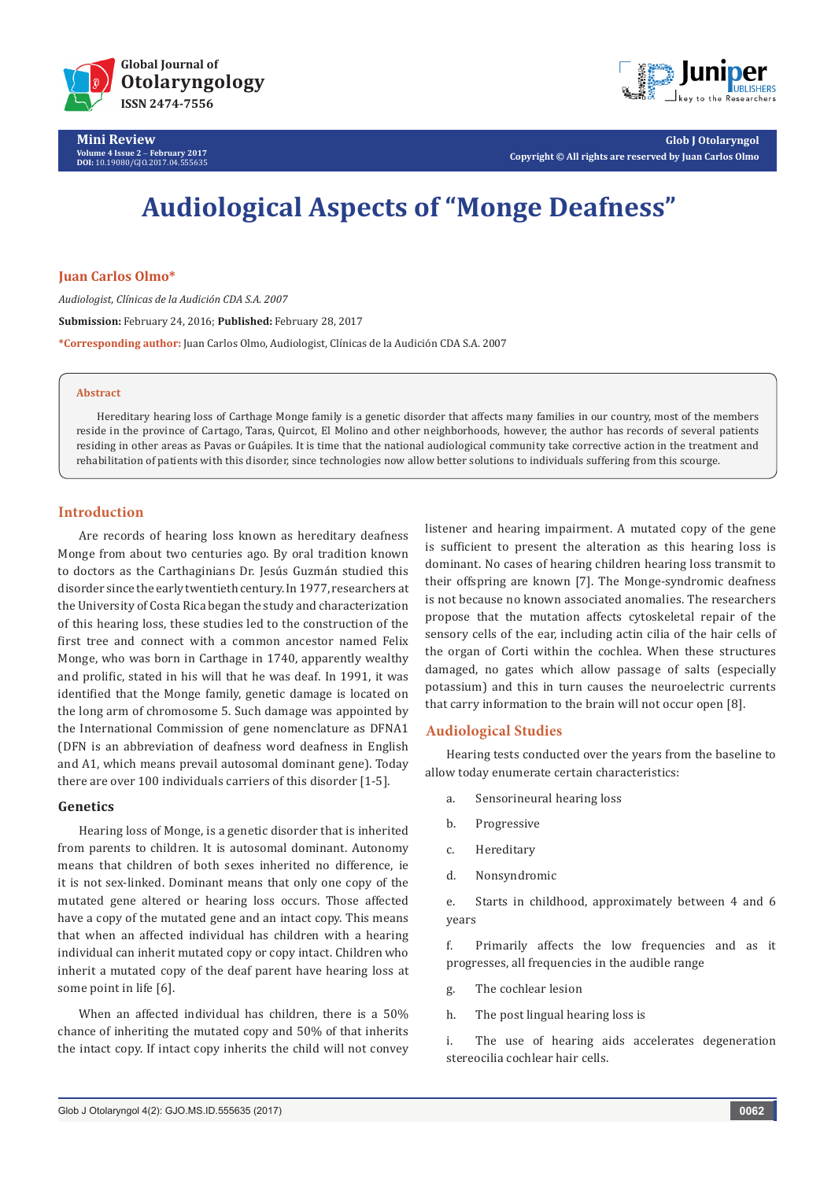



**Glob J Otolaryngol Copyright © All rights are reserved by Juan Carlos Olmo**

# **Audiological Aspects of "Monge Deafness"**

# **Juan Carlos Olmo\***

*Audiologist, Clínicas de la Audición CDA S.A. 2007* **Submission:** February 24, 2016; **Published:** February 28, 2017 **\*Corresponding author:** Juan Carlos Olmo, Audiologist, Clínicas de la Audición CDA S.A. 2007

#### **Abstract**

Hereditary hearing loss of Carthage Monge family is a genetic disorder that affects many families in our country, most of the members reside in the province of Cartago, Taras, Quircot, El Molino and other neighborhoods, however, the author has records of several patients residing in other areas as Pavas or Guápiles. It is time that the national audiological community take corrective action in the treatment and rehabilitation of patients with this disorder, since technologies now allow better solutions to individuals suffering from this scourge.

# **Introduction**

Are records of hearing loss known as hereditary deafness Monge from about two centuries ago. By oral tradition known to doctors as the Carthaginians Dr. Jesús Guzmán studied this disorder since the early twentieth century. In 1977, researchers at the University of Costa Rica began the study and characterization of this hearing loss, these studies led to the construction of the first tree and connect with a common ancestor named Felix Monge, who was born in Carthage in 1740, apparently wealthy and prolific, stated in his will that he was deaf. In 1991, it was identified that the Monge family, genetic damage is located on the long arm of chromosome 5. Such damage was appointed by the International Commission of gene nomenclature as DFNA1 (DFN is an abbreviation of deafness word deafness in English and A1, which means prevail autosomal dominant gene). Today there are over 100 individuals carriers of this disorder [1-5].

# **Genetics**

Hearing loss of Monge, is a genetic disorder that is inherited from parents to children. It is autosomal dominant. Autonomy means that children of both sexes inherited no difference, ie it is not sex-linked. Dominant means that only one copy of the mutated gene altered or hearing loss occurs. Those affected have a copy of the mutated gene and an intact copy. This means that when an affected individual has children with a hearing individual can inherit mutated copy or copy intact. Children who inherit a mutated copy of the deaf parent have hearing loss at some point in life [6].

When an affected individual has children, there is a 50% chance of inheriting the mutated copy and 50% of that inherits the intact copy. If intact copy inherits the child will not convey

listener and hearing impairment. A mutated copy of the gene is sufficient to present the alteration as this hearing loss is dominant. No cases of hearing children hearing loss transmit to their offspring are known [7]. The Monge-syndromic deafness is not because no known associated anomalies. The researchers propose that the mutation affects cytoskeletal repair of the sensory cells of the ear, including actin cilia of the hair cells of the organ of Corti within the cochlea. When these structures damaged, no gates which allow passage of salts (especially potassium) and this in turn causes the neuroelectric currents that carry information to the brain will not occur open [8].

# **Audiological Studies**

Hearing tests conducted over the years from the baseline to allow today enumerate certain characteristics:

- a. Sensorineural hearing loss
- b. Progressive
- c. Hereditary
- d. Nonsyndromic

e. Starts in childhood, approximately between 4 and 6 years

f. Primarily affects the low frequencies and as it progresses, all frequencies in the audible range

g. The cochlear lesion

h. The post lingual hearing loss is

i. The use of hearing aids accelerates degeneration stereocilia cochlear hair cells.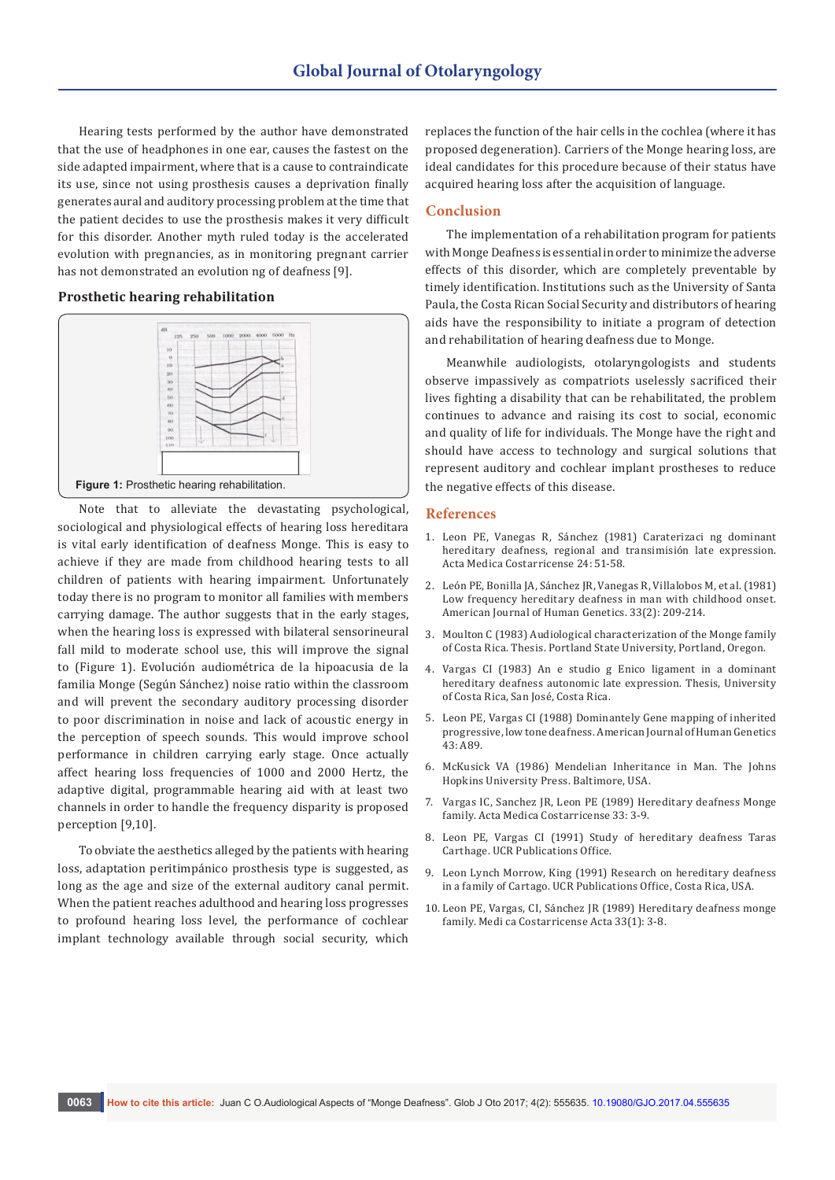Hearing tests performed by the author have demonstrated that the use of headphones in one ear, causes the fastest on the side adapted impairment, where that is a cause to contraindicate its use, since not using prosthesis causes a deprivation finally generates aural and auditory processing problem at the time that the patient decides to use the prosthesis makes it very difficult for this disorder. Another myth ruled today is the accelerated evolution with pregnancies, as in monitoring pregnant carrier has not demonstrated an evolution ng of deafness [9].

# **Prosthetic hearing rehabilitation**



Note that to alleviate the devastating psychological, sociological and physiological effects of hearing loss hereditara is vital early identification of deafness Monge. This is easy to achieve if they are made from childhood hearing tests to all children of patients with hearing impairment. Unfortunately today there is no program to monitor all families with members carrying damage. The author suggests that in the early stages, when the hearing loss is expressed with bilateral sensorineural fall mild to moderate school use, this will improve the signal to (Figure 1). Evolución audiométrica de la hipoacusia de la familia Monge (Según Sánchez) noise ratio within the classroom and will prevent the secondary auditory processing disorder to poor discrimination in noise and lack of acoustic energy in the perception of speech sounds. This would improve school performance in children carrying early stage. Once actually affect hearing loss frequencies of 1000 and 2000 Hertz, the adaptive digital, programmable hearing aid with at least two channels in order to handle the frequency disparity is proposed perception [9,10].

To obviate the aesthetics alleged by the patients with hearing loss, adaptation peritimpánico prosthesis type is suggested, as long as the age and size of the external auditory canal permit. When the patient reaches adulthood and hearing loss progresses to profound hearing loss level, the performance of cochlear implant technology available through social security, which

replaces the function of the hair cells in the cochlea (where it has proposed degeneration). Carriers of the Monge hearing loss, are ideal candidates for this procedure because of their status have acquired hearing loss after the acquisition of language.

#### **Conclusion**

The implementation of a rehabilitation program for patients with Monge Deafness is essential in order to minimize the adverse effects of this disorder, which are completely preventable by timely identification. Institutions such as the University of Santa Paula, the Costa Rican Social Security and distributors of hearing aids have the responsibility to initiate a program of detection and rehabilitation of hearing deafness due to Monge.

Meanwhile audiologists, otolaryngologists and students observe impassively as compatriots uselessly sacrificed their lives fighting a disability that can be rehabilitated, the problem continues to advance and raising its cost to social, economic and quality of life for individuals. The Monge have the right and should have access to technology and surgical solutions that represent auditory and cochlear implant prostheses to reduce the negative effects of this disease.

#### **References**

- 1. Leon PE, Vanegas R, Sánchez (1981) Caraterizaci ng dominant hereditary deafness, regional and transimisión late expression. Acta Medica Costarricense 24: 51-58.
- 2. [León PE, Bonilla JA, Sánchez JR, Vanegas R, Villalobos M, et al. \(1981\)](https://www.ncbi.nlm.nih.gov/pubmed/7211837)  [Low frequency hereditary deafness in man with childhood onset.](https://www.ncbi.nlm.nih.gov/pubmed/7211837)  [American Journal of Human Genetics. 33\(2\): 209-214.](https://www.ncbi.nlm.nih.gov/pubmed/7211837)
- 3. [Moulton C \(1983\) Audiological characterization of the Monge family](http://pdxscholar.library.pdx.edu/open_access_etds/3343/)  [of Costa Rica. Thesis. Portland State University, Portland, Oregon.](http://pdxscholar.library.pdx.edu/open_access_etds/3343/)
- 4. Vargas CI (1983) An e studio g Enico ligament in a dominant hereditary deafness autonomic late expression. Thesis, University of Costa Rica, San José, Costa Rica.
- 5. Leon PE, Vargas CI (1988) Dominantely Gene mapping of inherited progressive, low tone deafness. American Journal of Human Genetics 43: A89.
- 6. McKusick VA (1986) Mendelian Inheritance in Man. The Johns Hopkins University Press. Baltimore, USA.
- 7. Vargas IC, Sanchez JR, Leon PE (1989) Hereditary deafness Monge family. Acta Medica Costarricense 33: 3-9.
- 8. Leon PE, Vargas CI (1991) Study of hereditary deafness Taras Carthage. UCR Publications Office.
- 9. Leon Lynch Morrow, King (1991) Research on hereditary deafness in a family of Cartago. UCR Publications Office, Costa Rica, USA.
- 10. Leon PE, Vargas, CI, Sánchez JR (1989) Hereditary deafness monge family. Medi ca Costarricense Acta 33(1): 3-8.